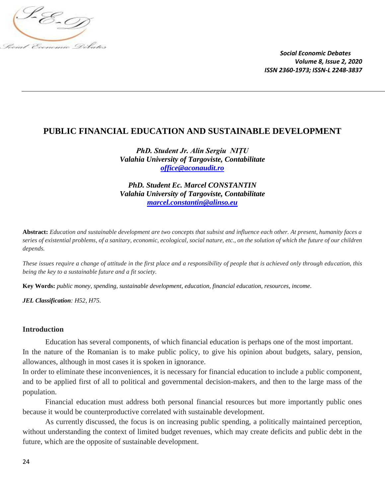

## **PUBLIC FINANCIAL EDUCATION AND SUSTAINABLE DEVELOPMENT**

*PhD. Student Jr. Alin Sergiu NIȚU Valahia University of Targoviste, Contabilitate [office@aconaudit.ro](mailto:office@aconaudit.ro)*

*PhD. Student Ec. Marcel CONSTANTIN Valahia University of Targoviste, Contabilitate [marcel.constantin@alinso.eu](mailto:marcel.constantin@alinso.eu)*

**Abstract:** *Education and sustainable development are two concepts that subsist and influence each other. At present, humanity faces a series of existential problems, of a sanitary, economic, ecological, social nature, etc., on the solution of which the future of our children depends.*

*These issues require a change of attitude in the first place and a responsibility of people that is achieved only through education, this being the key to a sustainable future and a fit society.*

**Key Words:** *public money, spending, sustainable development, education, financial education, resources, income.*

*JEL Classification: H52, H75.*

## **Introduction**

Education has several components, of which financial education is perhaps one of the most important. In the nature of the Romanian is to make public policy, to give his opinion about budgets, salary, pension, allowances, although in most cases it is spoken in ignorance.

In order to eliminate these inconveniences, it is necessary for financial education to include a public component, and to be applied first of all to political and governmental decision-makers, and then to the large mass of the population.

Financial education must address both personal financial resources but more importantly public ones because it would be counterproductive correlated with sustainable development.

As currently discussed, the focus is on increasing public spending, a politically maintained perception, without understanding the context of limited budget revenues, which may create deficits and public debt in the future, which are the opposite of sustainable development.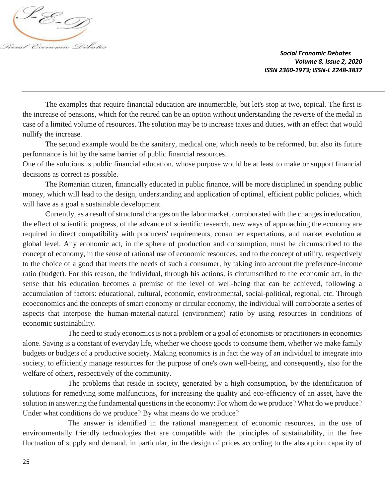

The examples that require financial education are innumerable, but let's stop at two, topical. The first is the increase of pensions, which for the retired can be an option without understanding the reverse of the medal in case of a limited volume of resources. The solution may be to increase taxes and duties, with an effect that would nullify the increase.

The second example would be the sanitary, medical one, which needs to be reformed, but also its future performance is hit by the same barrier of public financial resources.

One of the solutions is public financial education, whose purpose would be at least to make or support financial decisions as correct as possible.

The Romanian citizen, financially educated in public finance, will be more disciplined in spending public money, which will lead to the design, understanding and application of optimal, efficient public policies, which will have as a goal a sustainable development.

Currently, as a result of structural changes on the labor market, corroborated with the changes in education, the effect of scientific progress, of the advance of scientific research, new ways of approaching the economy are required in direct compatibility with producers' requirements, consumer expectations, and market evolution at global level. Any economic act, in the sphere of production and consumption, must be circumscribed to the concept of economy, in the sense of rational use of economic resources, and to the concept of utility, respectively to the choice of a good that meets the needs of such a consumer, by taking into account the preference-income ratio (budget). For this reason, the individual, through his actions, is circumscribed to the economic act, in the sense that his education becomes a premise of the level of well-being that can be achieved, following a accumulation of factors: educational, cultural, economic, environmental, social-political, regional, etc. Through ecoeconomics and the concepts of smart economy or circular economy, the individual will corroborate a series of aspects that interpose the human-material-natural (environment) ratio by using resources in conditions of economic sustainability.

The need to study economics is not a problem or a goal of economists or practitioners in economics alone. Saving is a constant of everyday life, whether we choose goods to consume them, whether we make family budgets or budgets of a productive society. Making economics is in fact the way of an individual to integrate into society, to efficiently manage resources for the purpose of one's own well-being, and consequently, also for the welfare of others, respectively of the community.

The problems that reside in society, generated by a high consumption, by the identification of solutions for remedying some malfunctions, for increasing the quality and eco-efficiency of an asset, have the solution in answering the fundamental questions in the economy: For whom do we produce? What do we produce? Under what conditions do we produce? By what means do we produce?

The answer is identified in the rational management of economic resources, in the use of environmentally friendly technologies that are compatible with the principles of sustainability, in the free fluctuation of supply and demand, in particular, in the design of prices according to the absorption capacity of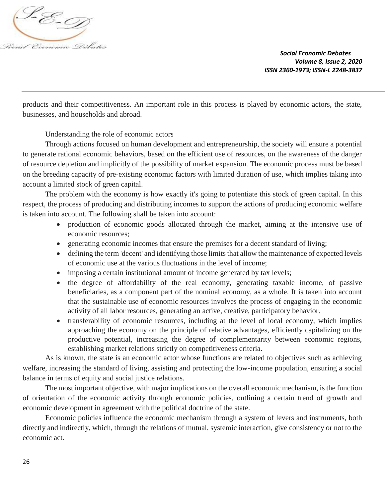

products and their competitiveness. An important role in this process is played by economic actors, the state, businesses, and households and abroad.

Understanding the role of economic actors

Through actions focused on human development and entrepreneurship, the society will ensure a potential to generate rational economic behaviors, based on the efficient use of resources, on the awareness of the danger of resource depletion and implicitly of the possibility of market expansion. The economic process must be based on the breeding capacity of pre-existing economic factors with limited duration of use, which implies taking into account a limited stock of green capital.

The problem with the economy is how exactly it's going to potentiate this stock of green capital. In this respect, the process of producing and distributing incomes to support the actions of producing economic welfare is taken into account. The following shall be taken into account:

- production of economic goods allocated through the market, aiming at the intensive use of economic resources;
- generating economic incomes that ensure the premises for a decent standard of living;
- defining the term 'decent' and identifying those limits that allow the maintenance of expected levels of economic use at the various fluctuations in the level of income;
- imposing a certain institutional amount of income generated by tax levels;
- the degree of affordability of the real economy, generating taxable income, of passive beneficiaries, as a component part of the nominal economy, as a whole. It is taken into account that the sustainable use of economic resources involves the process of engaging in the economic activity of all labor resources, generating an active, creative, participatory behavior.
- transferability of economic resources, including at the level of local economy, which implies approaching the economy on the principle of relative advantages, efficiently capitalizing on the productive potential, increasing the degree of complementarity between economic regions, establishing market relations strictly on competitiveness criteria.

As is known, the state is an economic actor whose functions are related to objectives such as achieving welfare, increasing the standard of living, assisting and protecting the low-income population, ensuring a social balance in terms of equity and social justice relations.

The most important objective, with major implications on the overall economic mechanism, is the function of orientation of the economic activity through economic policies, outlining a certain trend of growth and economic development in agreement with the political doctrine of the state.

Economic policies influence the economic mechanism through a system of levers and instruments, both directly and indirectly, which, through the relations of mutual, systemic interaction, give consistency or not to the economic act.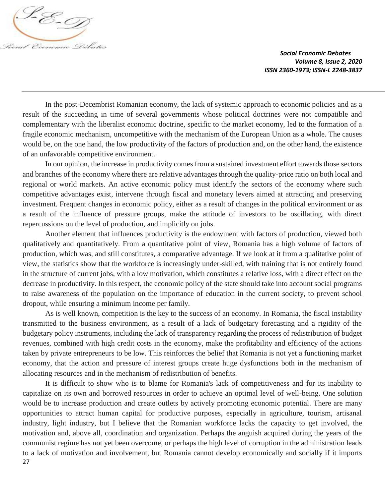

In the post-Decembrist Romanian economy, the lack of systemic approach to economic policies and as a result of the succeeding in time of several governments whose political doctrines were not compatible and complementary with the liberalist economic doctrine, specific to the market economy, led to the formation of a fragile economic mechanism, uncompetitive with the mechanism of the European Union as a whole. The causes would be, on the one hand, the low productivity of the factors of production and, on the other hand, the existence of an unfavorable competitive environment.

In our opinion, the increase in productivity comes from a sustained investment effort towards those sectors and branches of the economy where there are relative advantages through the quality-price ratio on both local and regional or world markets. An active economic policy must identify the sectors of the economy where such competitive advantages exist, intervene through fiscal and monetary levers aimed at attracting and preserving investment. Frequent changes in economic policy, either as a result of changes in the political environment or as a result of the influence of pressure groups, make the attitude of investors to be oscillating, with direct repercussions on the level of production, and implicitly on jobs.

Another element that influences productivity is the endowment with factors of production, viewed both qualitatively and quantitatively. From a quantitative point of view, Romania has a high volume of factors of production, which was, and still constitutes, a comparative advantage. If we look at it from a qualitative point of view, the statistics show that the workforce is increasingly under-skilled, with training that is not entirely found in the structure of current jobs, with a low motivation, which constitutes a relative loss, with a direct effect on the decrease in productivity. In this respect, the economic policy of the state should take into account social programs to raise awareness of the population on the importance of education in the current society, to prevent school dropout, while ensuring a minimum income per family.

As is well known, competition is the key to the success of an economy. In Romania, the fiscal instability transmitted to the business environment, as a result of a lack of budgetary forecasting and a rigidity of the budgetary policy instruments, including the lack of transparency regarding the process of redistribution of budget revenues, combined with high credit costs in the economy, make the profitability and efficiency of the actions taken by private entrepreneurs to be low. This reinforces the belief that Romania is not yet a functioning market economy, that the action and pressure of interest groups create huge dysfunctions both in the mechanism of allocating resources and in the mechanism of redistribution of benefits.

27 It is difficult to show who is to blame for Romania's lack of competitiveness and for its inability to capitalize on its own and borrowed resources in order to achieve an optimal level of well-being. One solution would be to increase production and create outlets by actively promoting economic potential. There are many opportunities to attract human capital for productive purposes, especially in agriculture, tourism, artisanal industry, light industry, but I believe that the Romanian workforce lacks the capacity to get involved, the motivation and, above all, coordination and organization. Perhaps the anguish acquired during the years of the communist regime has not yet been overcome, or perhaps the high level of corruption in the administration leads to a lack of motivation and involvement, but Romania cannot develop economically and socially if it imports